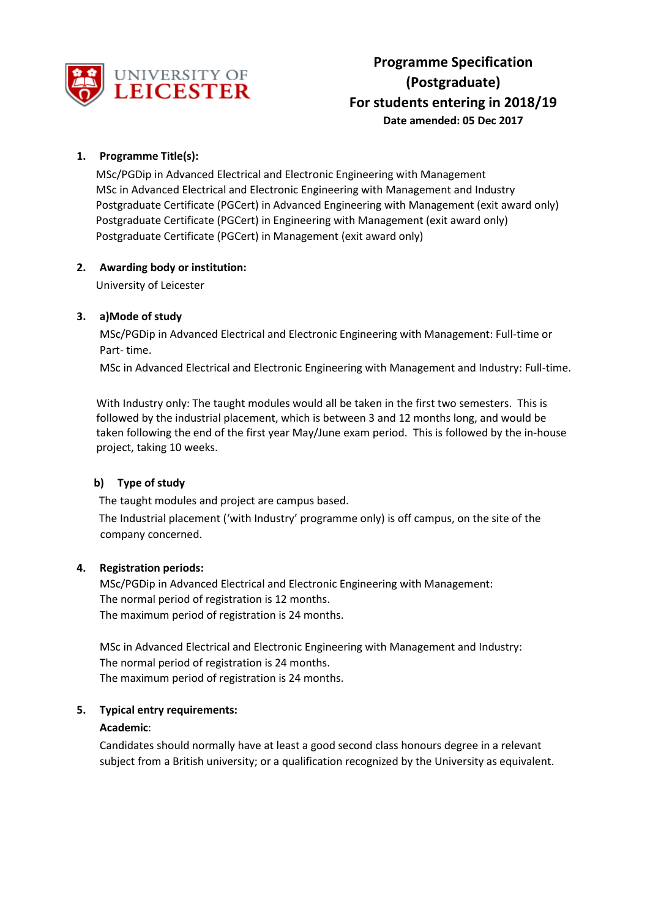

# **1. Programme Title(s):**

MSc/PGDip in Advanced Electrical and Electronic Engineering with Management MSc in Advanced Electrical and Electronic Engineering with Management and Industry Postgraduate Certificate (PGCert) in Advanced Engineering with Management (exit award only) Postgraduate Certificate (PGCert) in Engineering with Management (exit award only) Postgraduate Certificate (PGCert) in Management (exit award only)

# **2. Awarding body or institution:**

University of Leicester

# **3. a)Mode of study**

MSc/PGDip in Advanced Electrical and Electronic Engineering with Management: Full-time or Part- time.

MSc in Advanced Electrical and Electronic Engineering with Management and Industry: Full-time.

With Industry only: The taught modules would all be taken in the first two semesters. This is followed by the industrial placement, which is between 3 and 12 months long, and would be taken following the end of the first year May/June exam period. This is followed by the in-house project, taking 10 weeks.

# **b) Type of study**

The taught modules and project are campus based.

The Industrial placement ('with Industry' programme only) is off campus, on the site of the company concerned.

# **4. Registration periods:**

MSc/PGDip in Advanced Electrical and Electronic Engineering with Management: The normal period of registration is 12 months. The maximum period of registration is 24 months.

MSc in Advanced Electrical and Electronic Engineering with Management and Industry: The normal period of registration is 24 months. The maximum period of registration is 24 months.

### **5. Typical entry requirements:**

### **Academic**:

Candidates should normally have at least a good second class honours degree in a relevant subject from a British university; or a qualification recognized by the University as equivalent.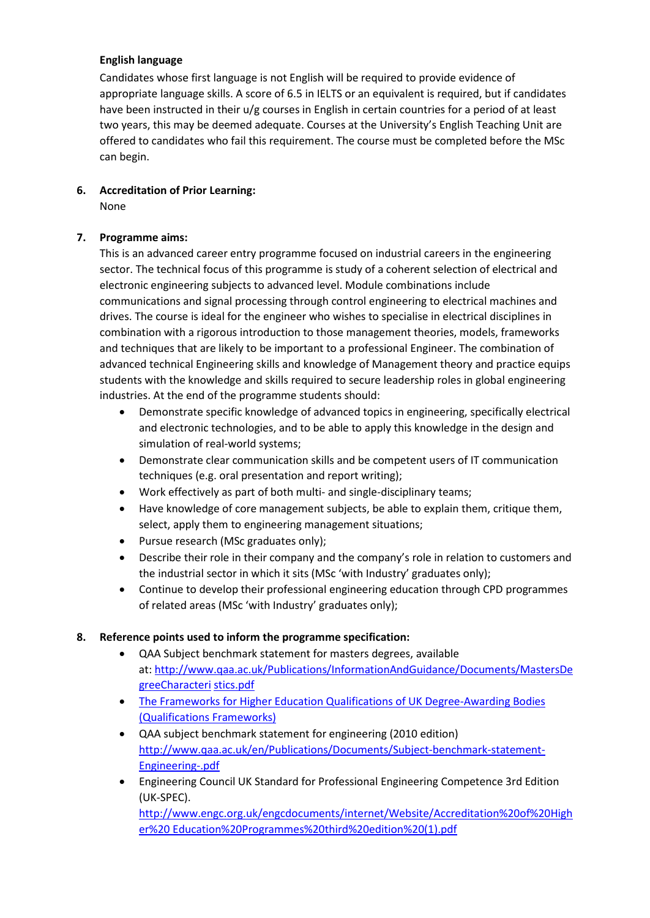# **English language**

Candidates whose first language is not English will be required to provide evidence of appropriate language skills. A score of 6.5 in IELTS or an equivalent is required, but if candidates have been instructed in their u/g courses in English in certain countries for a period of at least two years, this may be deemed adequate. Courses at the University's English Teaching Unit are offered to candidates who fail this requirement. The course must be completed before the MSc can begin.

### **6. Accreditation of Prior Learning:** None

### **7. Programme aims:**

This is an advanced career entry programme focused on industrial careers in the engineering sector. The technical focus of this programme is study of a coherent selection of electrical and electronic engineering subjects to advanced level. Module combinations include communications and signal processing through control engineering to electrical machines and drives. The course is ideal for the engineer who wishes to specialise in electrical disciplines in combination with a rigorous introduction to those management theories, models, frameworks and techniques that are likely to be important to a professional Engineer. The combination of advanced technical Engineering skills and knowledge of Management theory and practice equips students with the knowledge and skills required to secure leadership roles in global engineering industries. At the end of the programme students should:

- Demonstrate specific knowledge of advanced topics in engineering, specifically electrical and electronic technologies, and to be able to apply this knowledge in the design and simulation of real-world systems;
- Demonstrate clear communication skills and be competent users of IT communication techniques (e.g. oral presentation and report writing);
- Work effectively as part of both multi- and single-disciplinary teams;
- Have knowledge of core management subjects, be able to explain them, critique them, select, apply them to engineering management situations;
- Pursue research (MSc graduates only);
- Describe their role in their company and the company's role in relation to customers and the industrial sector in which it sits (MSc 'with Industry' graduates only);
- Continue to develop their professional engineering education through CPD programmes of related areas (MSc 'with Industry' graduates only);

# **8. Reference points used to inform the programme specification:**

- QAA Subject benchmark statement for masters degrees, available at: [http://www.qaa.ac.uk/Publications/InformationAndGuidance/Documents/MastersDe](http://www.qaa.ac.uk/Publications/InformationAndGuidance/Documents/MastersDegreeCharacteristics.pdf) [greeCharacteri](http://www.qaa.ac.uk/Publications/InformationAndGuidance/Documents/MastersDegreeCharacteristics.pdf) [stics.pdf](http://www.qaa.ac.uk/Publications/InformationAndGuidance/Documents/MastersDegreeCharacteristics.pdf)
- [The Frameworks for Higher Education Qualifications of UK Degree-Awarding Bodies](http://www.qaa.ac.uk/Publications/InformationAndGuidance/Documents/MastersDegreeCharacteristics.pdf)  [\(Qualifications](http://www.qaa.ac.uk/Publications/InformationAndGuidance/Documents/MastersDegreeCharacteristics.pdf) [Frameworks\)](http://www.qaa.ac.uk/publications/information-and-guidance/publication?PubID=2843)
- QAA subject benchmark statement for engineering (2010 edition) [http://www.qaa.ac.uk/en/Publications/Documents/Subject-benchmark-statement-](http://www.qaa.ac.uk/en/Publications/Documents/Subject-benchmark-statement-Engineering-.pdf)[Engineering-.pdf](http://www.qaa.ac.uk/en/Publications/Documents/Subject-benchmark-statement-Engineering-.pdf)
- Engineering Council UK Standard for Professional Engineering Competence 3rd Edition (UK-SPEC). [http://www.engc.org.uk/engcdocuments/internet/Website/Accreditation%20of%20High](http://www.engc.org.uk/engcdocuments/internet/Website/Accreditation%20of%20Higher%20Education%20Programmes%20third%20edition%20(1).pdf) [er%20 Education%20Programmes%20third%20edition%20\(1\).pdf](http://www.engc.org.uk/engcdocuments/internet/Website/Accreditation%20of%20Higher%20Education%20Programmes%20third%20edition%20(1).pdf)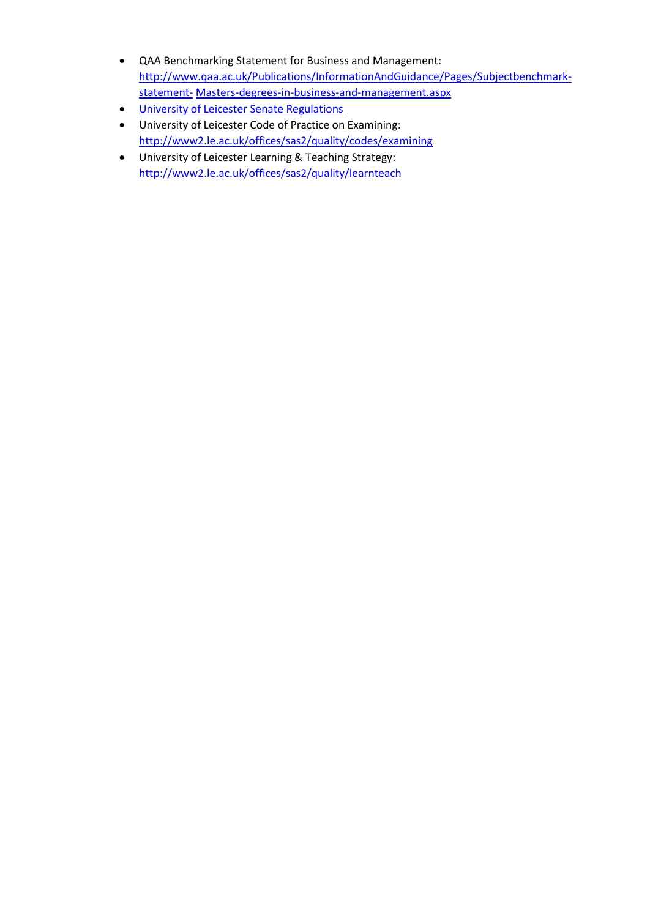- QAA Benchmarking Statement for Business and Management: [http://www.qaa.ac.uk/Publications/InformationAndGuidance/Pages/Subjectbenchmark](http://www.qaa.ac.uk/Publications/InformationAndGuidance/Pages/Subject-benchmark-statement-Masters-degrees-in-business-and-management.aspx)[statement-](http://www.qaa.ac.uk/Publications/InformationAndGuidance/Pages/Subject-benchmark-statement-Masters-degrees-in-business-and-management.aspx) [Masters-degrees-in-business-and-management.aspx](http://www.qaa.ac.uk/Publications/InformationAndGuidance/Pages/Subject-benchmark-statement-Masters-degrees-in-business-and-management.aspx)
- [University of Leicester Senate Regulations](http://www2.le.ac.uk/offices/sas2/regulations/senate-regulations)
- University of Leicester Code of Practice on Examining: <http://www2.le.ac.uk/offices/sas2/quality/codes/examining>
- University of Leicester Learning & Teaching Strategy: <http://www2.le.ac.uk/offices/sas2/quality/learnteach>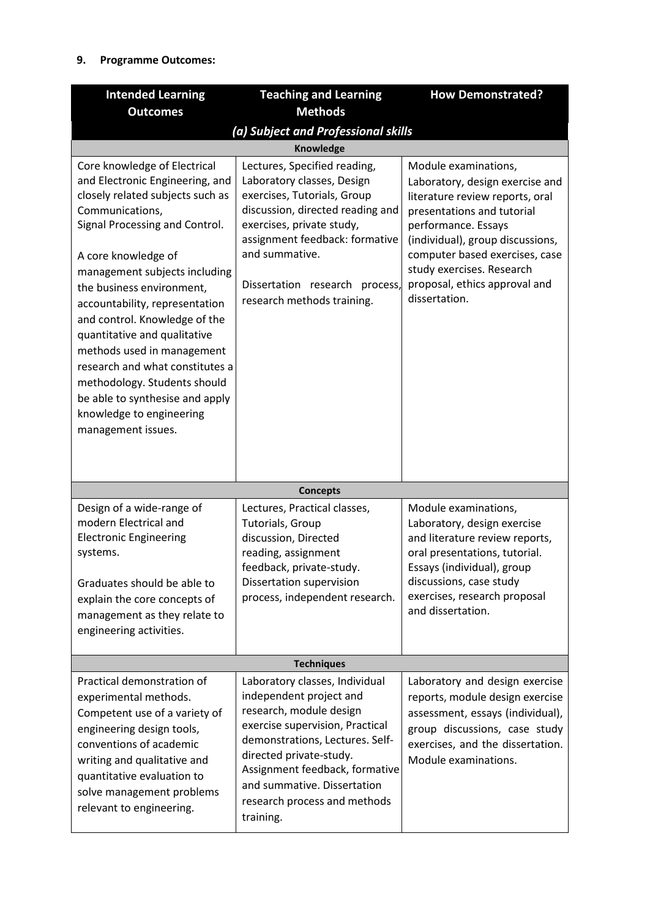# **9. Programme Outcomes:**

| <b>Intended Learning</b>                                                                                                                                                                                                                                                                                                                                                                                                                                                                                                               | <b>Teaching and Learning</b>                                                                                                                                                                                                                                                                        | <b>How Demonstrated?</b>                                                                                                                                                                                                                                                                             |  |  |
|----------------------------------------------------------------------------------------------------------------------------------------------------------------------------------------------------------------------------------------------------------------------------------------------------------------------------------------------------------------------------------------------------------------------------------------------------------------------------------------------------------------------------------------|-----------------------------------------------------------------------------------------------------------------------------------------------------------------------------------------------------------------------------------------------------------------------------------------------------|------------------------------------------------------------------------------------------------------------------------------------------------------------------------------------------------------------------------------------------------------------------------------------------------------|--|--|
| <b>Outcomes</b>                                                                                                                                                                                                                                                                                                                                                                                                                                                                                                                        | <b>Methods</b>                                                                                                                                                                                                                                                                                      |                                                                                                                                                                                                                                                                                                      |  |  |
| (a) Subject and Professional skills                                                                                                                                                                                                                                                                                                                                                                                                                                                                                                    |                                                                                                                                                                                                                                                                                                     |                                                                                                                                                                                                                                                                                                      |  |  |
|                                                                                                                                                                                                                                                                                                                                                                                                                                                                                                                                        | Knowledge                                                                                                                                                                                                                                                                                           |                                                                                                                                                                                                                                                                                                      |  |  |
| Core knowledge of Electrical<br>and Electronic Engineering, and<br>closely related subjects such as<br>Communications,<br>Signal Processing and Control.<br>A core knowledge of<br>management subjects including<br>the business environment,<br>accountability, representation<br>and control. Knowledge of the<br>quantitative and qualitative<br>methods used in management<br>research and what constitutes a<br>methodology. Students should<br>be able to synthesise and apply<br>knowledge to engineering<br>management issues. | Lectures, Specified reading,<br>Laboratory classes, Design<br>exercises, Tutorials, Group<br>discussion, directed reading and<br>exercises, private study,<br>assignment feedback: formative<br>and summative.<br>Dissertation research<br>process,<br>research methods training.                   | Module examinations,<br>Laboratory, design exercise and<br>literature review reports, oral<br>presentations and tutorial<br>performance. Essays<br>(individual), group discussions,<br>computer based exercises, case<br>study exercises. Research<br>proposal, ethics approval and<br>dissertation. |  |  |
|                                                                                                                                                                                                                                                                                                                                                                                                                                                                                                                                        | <b>Concepts</b>                                                                                                                                                                                                                                                                                     |                                                                                                                                                                                                                                                                                                      |  |  |
| Design of a wide-range of<br>modern Electrical and<br><b>Electronic Engineering</b><br>systems.<br>Graduates should be able to<br>explain the core concepts of<br>management as they relate to<br>engineering activities.                                                                                                                                                                                                                                                                                                              | Lectures, Practical classes,<br>Tutorials, Group<br>discussion, Directed<br>reading, assignment<br>feedback, private-study.<br>Dissertation supervision<br>process, independent research.                                                                                                           | Module examinations,<br>Laboratory, design exercise<br>and literature review reports,<br>oral presentations, tutorial.<br>Essays (individual), group<br>discussions, case study<br>exercises, research proposal<br>and dissertation.                                                                 |  |  |
| <b>Techniques</b>                                                                                                                                                                                                                                                                                                                                                                                                                                                                                                                      |                                                                                                                                                                                                                                                                                                     |                                                                                                                                                                                                                                                                                                      |  |  |
| Practical demonstration of<br>experimental methods.<br>Competent use of a variety of<br>engineering design tools,<br>conventions of academic<br>writing and qualitative and<br>quantitative evaluation to<br>solve management problems<br>relevant to engineering.                                                                                                                                                                                                                                                                     | Laboratory classes, Individual<br>independent project and<br>research, module design<br>exercise supervision, Practical<br>demonstrations, Lectures. Self-<br>directed private-study.<br>Assignment feedback, formative<br>and summative. Dissertation<br>research process and methods<br>training. | Laboratory and design exercise<br>reports, module design exercise<br>assessment, essays (individual),<br>group discussions, case study<br>exercises, and the dissertation.<br>Module examinations.                                                                                                   |  |  |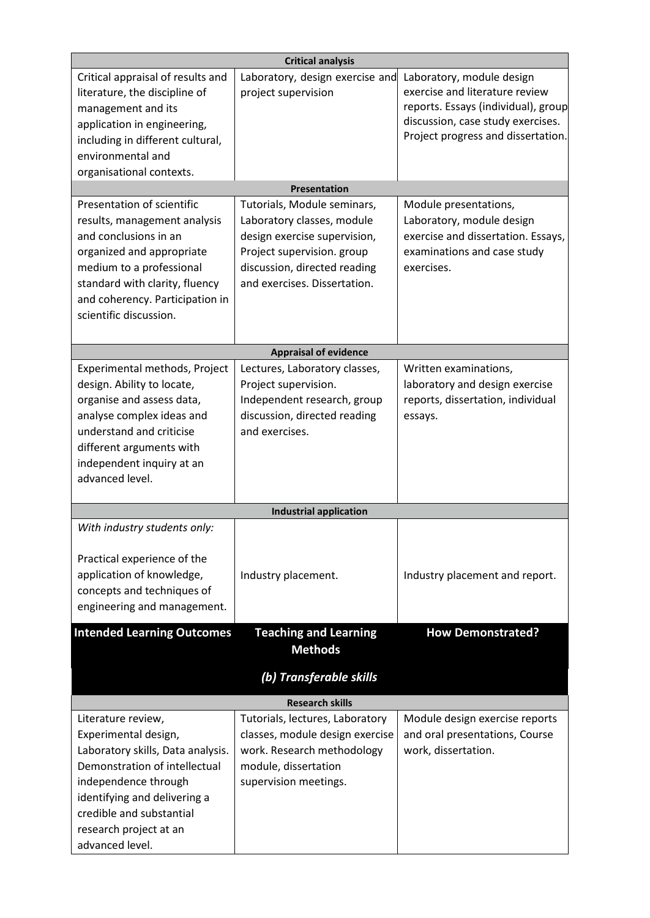| <b>Critical analysis</b>                                                                                                                                                                                                                          |                                                                                                                                                                                         |                                                                                                                                                                               |  |  |
|---------------------------------------------------------------------------------------------------------------------------------------------------------------------------------------------------------------------------------------------------|-----------------------------------------------------------------------------------------------------------------------------------------------------------------------------------------|-------------------------------------------------------------------------------------------------------------------------------------------------------------------------------|--|--|
| Critical appraisal of results and<br>literature, the discipline of<br>management and its<br>application in engineering,<br>including in different cultural,<br>environmental and<br>organisational contexts.                                      | Laboratory, design exercise and<br>project supervision                                                                                                                                  | Laboratory, module design<br>exercise and literature review<br>reports. Essays (individual), group<br>discussion, case study exercises.<br>Project progress and dissertation. |  |  |
|                                                                                                                                                                                                                                                   | <b>Presentation</b>                                                                                                                                                                     |                                                                                                                                                                               |  |  |
| Presentation of scientific<br>results, management analysis<br>and conclusions in an<br>organized and appropriate<br>medium to a professional<br>standard with clarity, fluency<br>and coherency. Participation in<br>scientific discussion.       | Tutorials, Module seminars,<br>Laboratory classes, module<br>design exercise supervision,<br>Project supervision. group<br>discussion, directed reading<br>and exercises. Dissertation. | Module presentations,<br>Laboratory, module design<br>exercise and dissertation. Essays,<br>examinations and case study<br>exercises.                                         |  |  |
|                                                                                                                                                                                                                                                   | <b>Appraisal of evidence</b>                                                                                                                                                            |                                                                                                                                                                               |  |  |
| Experimental methods, Project<br>design. Ability to locate,<br>organise and assess data,<br>analyse complex ideas and<br>understand and criticise<br>different arguments with<br>independent inquiry at an<br>advanced level.                     | Lectures, Laboratory classes,<br>Project supervision.<br>Independent research, group<br>discussion, directed reading<br>and exercises.                                                  | Written examinations,<br>laboratory and design exercise<br>reports, dissertation, individual<br>essays.                                                                       |  |  |
|                                                                                                                                                                                                                                                   | <b>Industrial application</b>                                                                                                                                                           |                                                                                                                                                                               |  |  |
| With industry students only:<br>Practical experience of the<br>application of knowledge,<br>concepts and techniques of<br>engineering and management.                                                                                             | Industry placement.                                                                                                                                                                     | Industry placement and report.                                                                                                                                                |  |  |
| <b>Intended Learning Outcomes</b>                                                                                                                                                                                                                 | <b>Teaching and Learning</b>                                                                                                                                                            | <b>How Demonstrated?</b>                                                                                                                                                      |  |  |
|                                                                                                                                                                                                                                                   | <b>Methods</b>                                                                                                                                                                          |                                                                                                                                                                               |  |  |
| (b) Transferable skills                                                                                                                                                                                                                           |                                                                                                                                                                                         |                                                                                                                                                                               |  |  |
|                                                                                                                                                                                                                                                   | <b>Research skills</b>                                                                                                                                                                  |                                                                                                                                                                               |  |  |
| Literature review,<br>Experimental design,<br>Laboratory skills, Data analysis.<br>Demonstration of intellectual<br>independence through<br>identifying and delivering a<br>credible and substantial<br>research project at an<br>advanced level. | Tutorials, lectures, Laboratory<br>classes, module design exercise<br>work. Research methodology<br>module, dissertation<br>supervision meetings.                                       | Module design exercise reports<br>and oral presentations, Course<br>work, dissertation.                                                                                       |  |  |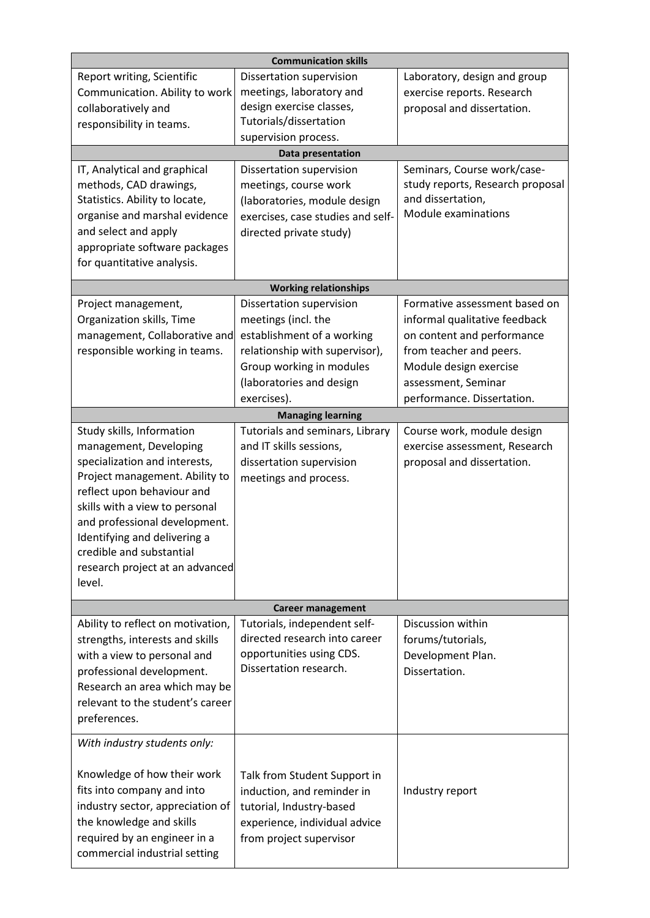| <b>Communication skills</b>                                                                                                                                                                                                                                                                                                      |                                                                                                                                                                                        |                                                                                                                                                                                                        |  |
|----------------------------------------------------------------------------------------------------------------------------------------------------------------------------------------------------------------------------------------------------------------------------------------------------------------------------------|----------------------------------------------------------------------------------------------------------------------------------------------------------------------------------------|--------------------------------------------------------------------------------------------------------------------------------------------------------------------------------------------------------|--|
| Report writing, Scientific<br>Communication. Ability to work<br>collaboratively and<br>responsibility in teams.                                                                                                                                                                                                                  | Dissertation supervision<br>meetings, laboratory and<br>design exercise classes,<br>Tutorials/dissertation<br>supervision process.                                                     | Laboratory, design and group<br>exercise reports. Research<br>proposal and dissertation.                                                                                                               |  |
|                                                                                                                                                                                                                                                                                                                                  | Data presentation                                                                                                                                                                      |                                                                                                                                                                                                        |  |
| IT, Analytical and graphical<br>methods, CAD drawings,<br>Statistics. Ability to locate,<br>organise and marshal evidence<br>and select and apply<br>appropriate software packages<br>for quantitative analysis.                                                                                                                 | Dissertation supervision<br>meetings, course work<br>(laboratories, module design<br>exercises, case studies and self-<br>directed private study)                                      | Seminars, Course work/case-<br>study reports, Research proposal<br>and dissertation,<br>Module examinations                                                                                            |  |
|                                                                                                                                                                                                                                                                                                                                  | <b>Working relationships</b>                                                                                                                                                           |                                                                                                                                                                                                        |  |
| Project management,<br>Organization skills, Time<br>management, Collaborative and<br>responsible working in teams.                                                                                                                                                                                                               | Dissertation supervision<br>meetings (incl. the<br>establishment of a working<br>relationship with supervisor),<br>Group working in modules<br>(laboratories and design<br>exercises). | Formative assessment based on<br>informal qualitative feedback<br>on content and performance<br>from teacher and peers.<br>Module design exercise<br>assessment, Seminar<br>performance. Dissertation. |  |
|                                                                                                                                                                                                                                                                                                                                  | <b>Managing learning</b>                                                                                                                                                               |                                                                                                                                                                                                        |  |
| Study skills, Information<br>management, Developing<br>specialization and interests,<br>Project management. Ability to<br>reflect upon behaviour and<br>skills with a view to personal<br>and professional development.<br>Identifying and delivering a<br>credible and substantial<br>research project at an advanced<br>level. | Tutorials and seminars, Library<br>and IT skills sessions,<br>dissertation supervision<br>meetings and process.                                                                        | Course work, module design<br>exercise assessment, Research<br>proposal and dissertation.                                                                                                              |  |
|                                                                                                                                                                                                                                                                                                                                  | <b>Career management</b>                                                                                                                                                               |                                                                                                                                                                                                        |  |
| Ability to reflect on motivation,<br>strengths, interests and skills<br>with a view to personal and<br>professional development.<br>Research an area which may be<br>relevant to the student's career<br>preferences.                                                                                                            | Tutorials, independent self-<br>directed research into career<br>opportunities using CDS.<br>Dissertation research.                                                                    | Discussion within<br>forums/tutorials,<br>Development Plan.<br>Dissertation.                                                                                                                           |  |
| With industry students only:                                                                                                                                                                                                                                                                                                     |                                                                                                                                                                                        |                                                                                                                                                                                                        |  |
| Knowledge of how their work<br>fits into company and into<br>industry sector, appreciation of<br>the knowledge and skills<br>required by an engineer in a<br>commercial industrial setting                                                                                                                                       | Talk from Student Support in<br>induction, and reminder in<br>tutorial, Industry-based<br>experience, individual advice<br>from project supervisor                                     | Industry report                                                                                                                                                                                        |  |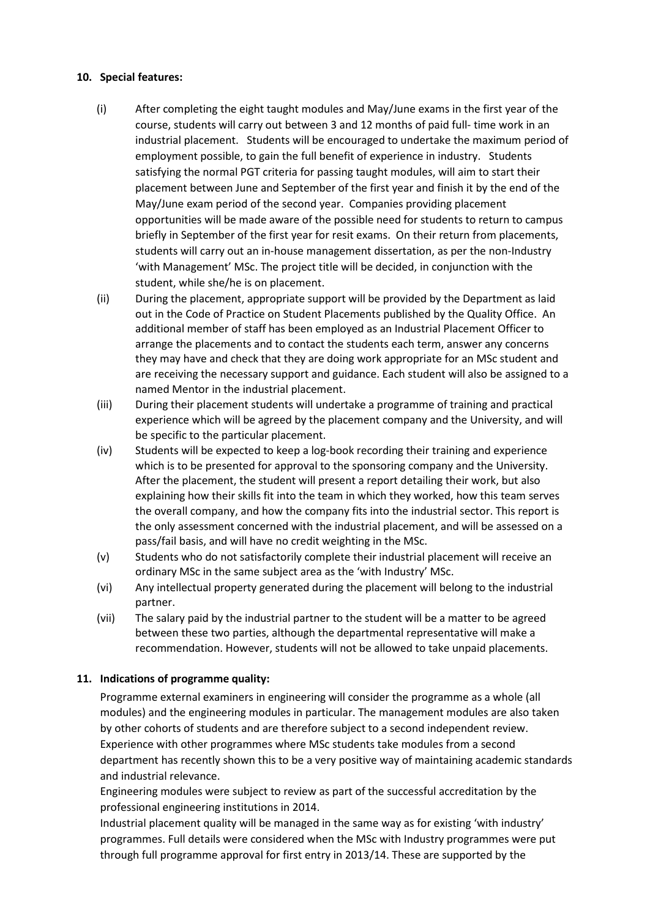### **10. Special features:**

- (i) After completing the eight taught modules and May/June exams in the first year of the course, students will carry out between 3 and 12 months of paid full- time work in an industrial placement. Students will be encouraged to undertake the maximum period of employment possible, to gain the full benefit of experience in industry. Students satisfying the normal PGT criteria for passing taught modules, will aim to start their placement between June and September of the first year and finish it by the end of the May/June exam period of the second year. Companies providing placement opportunities will be made aware of the possible need for students to return to campus briefly in September of the first year for resit exams. On their return from placements, students will carry out an in-house management dissertation, as per the non-Industry 'with Management' MSc. The project title will be decided, in conjunction with the student, while she/he is on placement.
- (ii) During the placement, appropriate support will be provided by the Department as laid out in the Code of Practice on Student Placements published by the Quality Office. An additional member of staff has been employed as an Industrial Placement Officer to arrange the placements and to contact the students each term, answer any concerns they may have and check that they are doing work appropriate for an MSc student and are receiving the necessary support and guidance. Each student will also be assigned to a named Mentor in the industrial placement.
- (iii) During their placement students will undertake a programme of training and practical experience which will be agreed by the placement company and the University, and will be specific to the particular placement.
- (iv) Students will be expected to keep a log-book recording their training and experience which is to be presented for approval to the sponsoring company and the University. After the placement, the student will present a report detailing their work, but also explaining how their skills fit into the team in which they worked, how this team serves the overall company, and how the company fits into the industrial sector. This report is the only assessment concerned with the industrial placement, and will be assessed on a pass/fail basis, and will have no credit weighting in the MSc.
- (v) Students who do not satisfactorily complete their industrial placement will receive an ordinary MSc in the same subject area as the 'with Industry' MSc.
- (vi) Any intellectual property generated during the placement will belong to the industrial partner.
- (vii) The salary paid by the industrial partner to the student will be a matter to be agreed between these two parties, although the departmental representative will make a recommendation. However, students will not be allowed to take unpaid placements.

# **11. Indications of programme quality:**

Programme external examiners in engineering will consider the programme as a whole (all modules) and the engineering modules in particular. The management modules are also taken by other cohorts of students and are therefore subject to a second independent review. Experience with other programmes where MSc students take modules from a second department has recently shown this to be a very positive way of maintaining academic standards and industrial relevance.

Engineering modules were subject to review as part of the successful accreditation by the professional engineering institutions in 2014.

Industrial placement quality will be managed in the same way as for existing 'with industry' programmes. Full details were considered when the MSc with Industry programmes were put through full programme approval for first entry in 2013/14. These are supported by the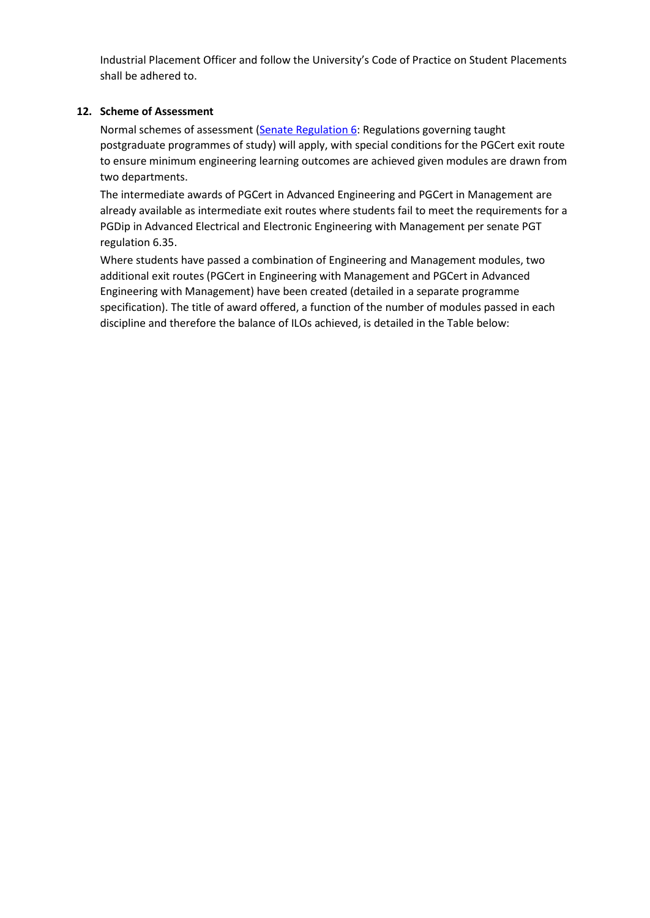Industrial Placement Officer and follow the University's Code of Practice on Student Placements shall be adhered to.

# **12. Scheme of Assessment**

Normal schemes of assessment [\(Senate Regulation 6:](http://www2.le.ac.uk/offices/sas2/regulations/senate-regulations) Regulations governing taught postgraduate programmes of study) will apply, with special conditions for the PGCert exit route to ensure minimum engineering learning outcomes are achieved given modules are drawn from two departments.

The intermediate awards of PGCert in Advanced Engineering and PGCert in Management are already available as intermediate exit routes where students fail to meet the requirements for a PGDip in Advanced Electrical and Electronic Engineering with Management per senate PGT regulation 6.35.

Where students have passed a combination of Engineering and Management modules, two additional exit routes (PGCert in Engineering with Management and PGCert in Advanced Engineering with Management) have been created (detailed in a separate programme specification). The title of award offered, a function of the number of modules passed in each discipline and therefore the balance of ILOs achieved, is detailed in the Table below: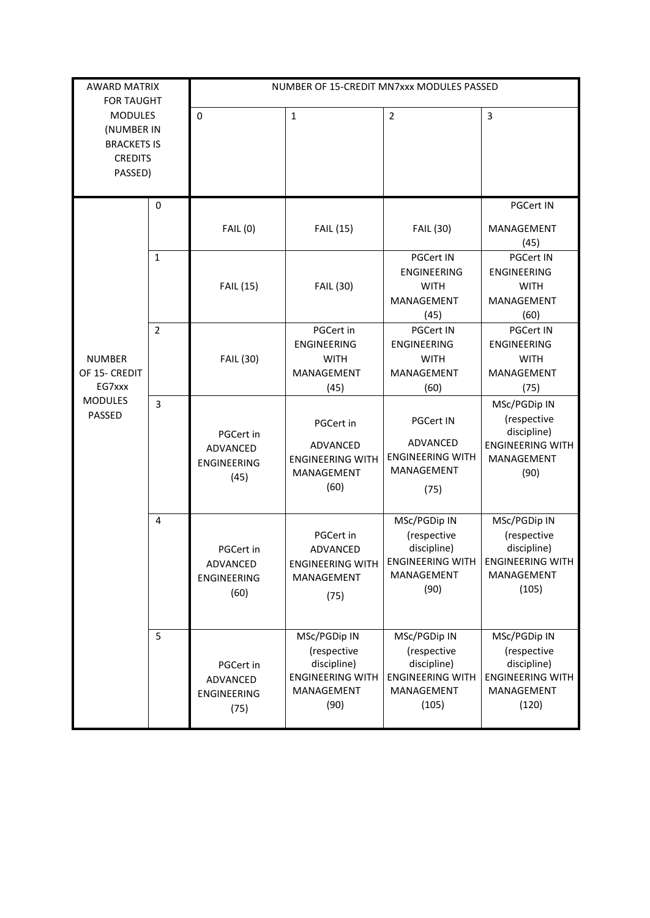| <b>AWARD MATRIX</b>                                                                                              |             | NUMBER OF 15-CREDIT MN7xxx MODULES PASSED           |                                                                                             |                                                                                              |                                                                                              |
|------------------------------------------------------------------------------------------------------------------|-------------|-----------------------------------------------------|---------------------------------------------------------------------------------------------|----------------------------------------------------------------------------------------------|----------------------------------------------------------------------------------------------|
| <b>FOR TAUGHT</b><br><b>MODULES</b><br>(NUMBER IN<br><b>BRACKETS IS</b><br><b>CREDITS</b><br>PASSED)             |             | $\Omega$                                            | $\mathbf{1}$                                                                                | $\overline{2}$                                                                               | 3                                                                                            |
|                                                                                                                  | $\mathbf 0$ |                                                     |                                                                                             |                                                                                              | PGCert IN                                                                                    |
| $\mathbf{1}$<br>$\overline{2}$<br><b>NUMBER</b><br>OF 15- CREDIT<br>EG7xxx<br><b>MODULES</b><br>3<br>PASSED<br>4 |             | <b>FAIL (0)</b>                                     | <b>FAIL (15)</b>                                                                            | <b>FAIL (30)</b>                                                                             | MANAGEMENT<br>(45)                                                                           |
|                                                                                                                  |             | <b>FAIL (15)</b>                                    | <b>FAIL (30)</b>                                                                            | PGCert IN<br>ENGINEERING<br><b>WITH</b><br>MANAGEMENT<br>(45)                                | PGCert IN<br>ENGINEERING<br><b>WITH</b><br>MANAGEMENT<br>(60)                                |
|                                                                                                                  |             | FAIL (30)                                           | PGCert in<br><b>ENGINEERING</b><br><b>WITH</b><br>MANAGEMENT<br>(45)                        | <b>PGCert IN</b><br><b>ENGINEERING</b><br><b>WITH</b><br>MANAGEMENT<br>(60)                  | <b>PGCert IN</b><br><b>ENGINEERING</b><br><b>WITH</b><br>MANAGEMENT<br>(75)                  |
|                                                                                                                  |             | PGCert in<br>ADVANCED<br><b>ENGINEERING</b><br>(45) | PGCert in<br>ADVANCED<br><b>ENGINEERING WITH</b><br>MANAGEMENT<br>(60)                      | <b>PGCert IN</b><br>ADVANCED<br><b>ENGINEERING WITH</b><br>MANAGEMENT<br>(75)                | MSc/PGDip IN<br>(respective<br>discipline)<br><b>ENGINEERING WITH</b><br>MANAGEMENT<br>(90)  |
|                                                                                                                  |             | PGCert in<br>ADVANCED<br><b>ENGINEERING</b><br>(60) | PGCert in<br><b>ADVANCED</b><br><b>ENGINEERING WITH</b><br>MANAGEMENT<br>(75)               | MSc/PGDip IN<br>(respective<br>discipline)<br>ENGINEERING WITH<br>MANAGEMENT<br>(90)         | MSc/PGDip IN<br>(respective<br>discipline)<br><b>ENGINEERING WITH</b><br>MANAGEMENT<br>(105) |
|                                                                                                                  | 5           | PGCert in<br>ADVANCED<br>ENGINEERING<br>(75)        | MSc/PGDip IN<br>(respective<br>discipline)<br><b>ENGINEERING WITH</b><br>MANAGEMENT<br>(90) | MSc/PGDip IN<br>(respective<br>discipline)<br><b>ENGINEERING WITH</b><br>MANAGEMENT<br>(105) | MSc/PGDip IN<br>(respective<br>discipline)<br><b>ENGINEERING WITH</b><br>MANAGEMENT<br>(120) |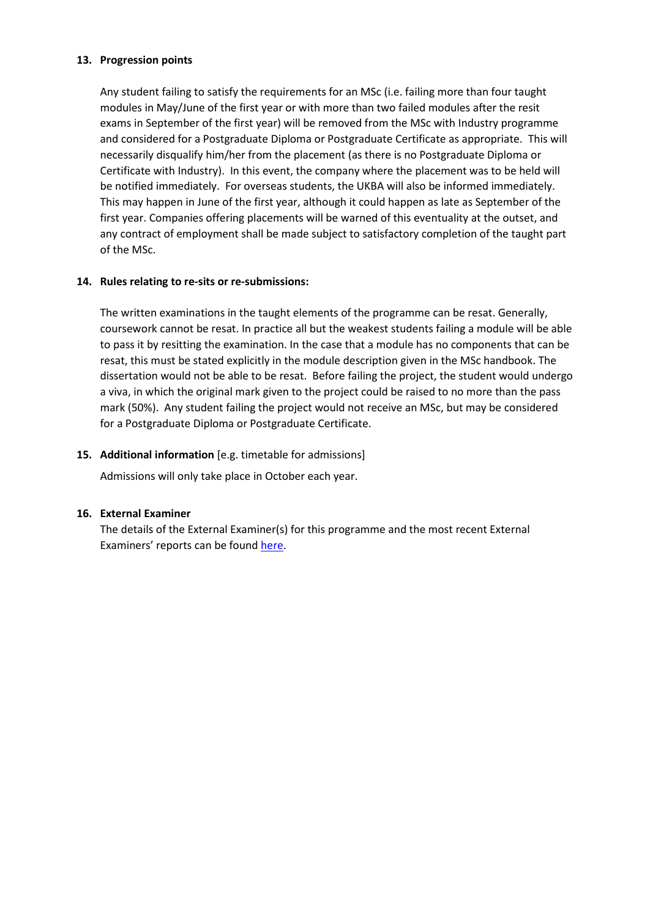### **13. Progression points**

Any student failing to satisfy the requirements for an MSc (i.e. failing more than four taught modules in May/June of the first year or with more than two failed modules after the resit exams in September of the first year) will be removed from the MSc with Industry programme and considered for a Postgraduate Diploma or Postgraduate Certificate as appropriate. This will necessarily disqualify him/her from the placement (as there is no Postgraduate Diploma or Certificate with Industry). In this event, the company where the placement was to be held will be notified immediately. For overseas students, the UKBA will also be informed immediately. This may happen in June of the first year, although it could happen as late as September of the first year. Companies offering placements will be warned of this eventuality at the outset, and any contract of employment shall be made subject to satisfactory completion of the taught part of the MSc.

# **14. Rules relating to re-sits or re-submissions:**

The written examinations in the taught elements of the programme can be resat. Generally, coursework cannot be resat. In practice all but the weakest students failing a module will be able to pass it by resitting the examination. In the case that a module has no components that can be resat, this must be stated explicitly in the module description given in the MSc handbook. The dissertation would not be able to be resat. Before failing the project, the student would undergo a viva, in which the original mark given to the project could be raised to no more than the pass mark (50%). Any student failing the project would not receive an MSc, but may be considered for a Postgraduate Diploma or Postgraduate Certificate.

### **15. Additional information** [e.g. timetable for admissions]

Admissions will only take place in October each year.

### **16. External Examiner**

The details of the External Examiner(s) for this programme and the most recent External Examiners' reports can be found [here.](https://exampapers.le.ac.uk/xmlui/handle/123456789/214)